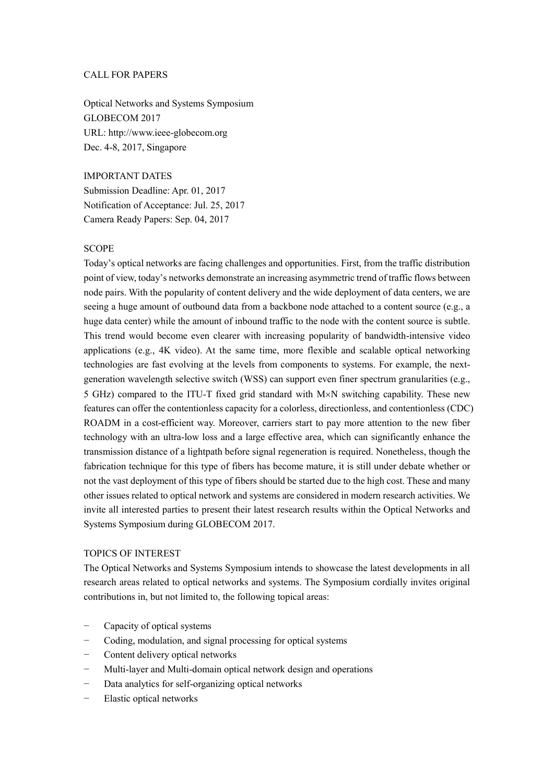# CALL FOR PAPERS

Optical Networks and Systems Symposium GLOBECOM 2017 URL: http://www.ieee-globecom.org Dec. 4-8, 2017, Singapore

### IMPORTANT DATES

Submission Deadline: Apr. 01, 2017 Notification of Acceptance: Jul. 25, 2017 Camera Ready Papers: Sep. 04, 2017

### **SCOPE**

Today's optical networks are facing challenges and opportunities. First, from the traffic distribution point of view, today's networks demonstrate an increasing asymmetric trend of traffic flows between node pairs. With the popularity of content delivery and the wide deployment of data centers, we are seeing a huge amount of outbound data from a backbone node attached to a content source (e.g., a huge data center) while the amount of inbound traffic to the node with the content source is subtle. This trend would become even clearer with increasing popularity of bandwidth-intensive video applications (e.g., 4K video). At the same time, more flexible and scalable optical networking technologies are fast evolving at the levels from components to systems. For example, the nextgeneration wavelength selective switch (WSS) can support even finer spectrum granularities (e.g., 5 GHz) compared to the ITU-T fixed grid standard with M×N switching capability. These new features can offer the contentionless capacity for a colorless, directionless, and contentionless (CDC) ROADM in a cost-efficient way. Moreover, carriers start to pay more attention to the new fiber technology with an ultra-low loss and a large effective area, which can significantly enhance the transmission distance of a lightpath before signal regeneration is required. Nonetheless, though the fabrication technique for this type of fibers has become mature, it is still under debate whether or not the vast deployment of this type of fibers should be started due to the high cost. These and many other issues related to optical network and systems are considered in modern research activities. We invite all interested parties to present their latest research results within the Optical Networks and Systems Symposium during GLOBECOM 2017.

#### TOPICS OF INTEREST

The Optical Networks and Systems Symposium intends to showcase the latest developments in all research areas related to optical networks and systems. The Symposium cordially invites original contributions in, but not limited to, the following topical areas:

- Capacity of optical systems
- − Coding, modulation, and signal processing for optical systems
- − Content delivery optical networks
- Multi-layer and Multi-domain optical network design and operations
- Data analytics for self-organizing optical networks
- Elastic optical networks